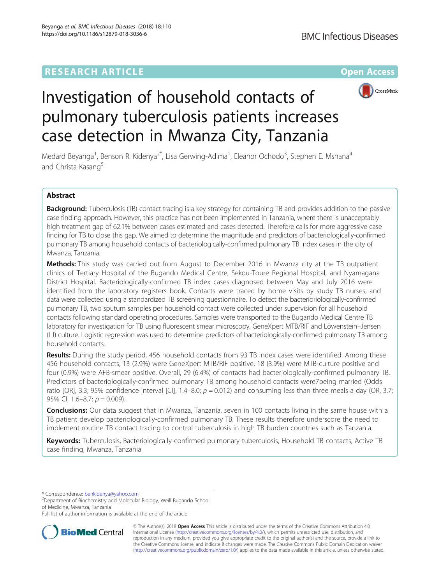## **RESEARCH ARTICLE Example 2014 12:30 The Community Community Community Community Community Community Community**



# Investigation of household contacts of pulmonary tuberculosis patients increases case detection in Mwanza City, Tanzania

Medard Beyanga<sup>1</sup>, Benson R. Kidenya<sup>2\*</sup>, Lisa Gerwing-Adima<sup>1</sup>, Eleanor Ochodo<sup>3</sup>, Stephen E. Mshana<sup>4</sup> and Christa Kasang<sup>5</sup>

## Abstract

Background: Tuberculosis (TB) contact tracing is a key strategy for containing TB and provides addition to the passive case finding approach. However, this practice has not been implemented in Tanzania, where there is unacceptably high treatment gap of 62.1% between cases estimated and cases detected. Therefore calls for more aggressive case finding for TB to close this gap. We aimed to determine the magnitude and predictors of bacteriologically-confirmed pulmonary TB among household contacts of bacteriologically-confirmed pulmonary TB index cases in the city of Mwanza, Tanzania.

**Methods:** This study was carried out from August to December 2016 in Mwanza city at the TB outpatient clinics of Tertiary Hospital of the Bugando Medical Centre, Sekou-Toure Regional Hospital, and Nyamagana District Hospital. Bacteriologically-confirmed TB index cases diagnosed between May and July 2016 were identified from the laboratory registers book. Contacts were traced by home visits by study TB nurses, and data were collected using a standardized TB screening questionnaire. To detect the bacterioriologically-confirmed pulmonary TB, two sputum samples per household contact were collected under supervision for all household contacts following standard operating procedures. Samples were transported to the Bugando Medical Centre TB laboratory for investigation for TB using fluorescent smear microscopy, GeneXpert MTB/RIF and Löwenstein–Jensen (LJ) culture. Logistic regression was used to determine predictors of bacteriologically-confirmed pulmonary TB among household contacts.

Results: During the study period, 456 household contacts from 93 TB index cases were identified. Among these 456 household contacts, 13 (2.9%) were GeneXpert MTB/RIF positive, 18 (3.9%) were MTB-culture positive and four (0.9%) were AFB-smear positive. Overall, 29 (6.4%) of contacts had bacteriologically-confirmed pulmonary TB. Predictors of bacteriologically-confirmed pulmonary TB among household contacts were7being married (Odds ratio [OR], 3.3; 95% confidence interval [CI], 1.4–8.0;  $p = 0.012$ ) and consuming less than three meals a day (OR, 3.7; 95% CI, 1.6–8.7;  $p = 0.009$ ).

**Conclusions:** Our data suggest that in Mwanza, Tanzania, seven in 100 contacts living in the same house with a TB patient develop bacteriologically-confirmed pulmonary TB. These results therefore underscore the need to implement routine TB contact tracing to control tuberculosis in high TB burden countries such as Tanzania.

Keywords: Tuberculosis, Bacteriologically-confirmed pulmonary tuberculosis, Household TB contacts, Active TB case finding, Mwanza, Tanzania

\* Correspondence: [benkidenya@yahoo.com](mailto:benkidenya@yahoo.com) <sup>2</sup>

<sup>2</sup>Department of Biochemistry and Molecular Biology, Weill Bugando School of Medicine, Mwanza, Tanzania

Full list of author information is available at the end of the article



© The Author(s). 2018 Open Access This article is distributed under the terms of the Creative Commons Attribution 4.0 International License [\(http://creativecommons.org/licenses/by/4.0/](http://creativecommons.org/licenses/by/4.0/)), which permits unrestricted use, distribution, and reproduction in any medium, provided you give appropriate credit to the original author(s) and the source, provide a link to the Creative Commons license, and indicate if changes were made. The Creative Commons Public Domain Dedication waiver [\(http://creativecommons.org/publicdomain/zero/1.0/](http://creativecommons.org/publicdomain/zero/1.0/)) applies to the data made available in this article, unless otherwise stated.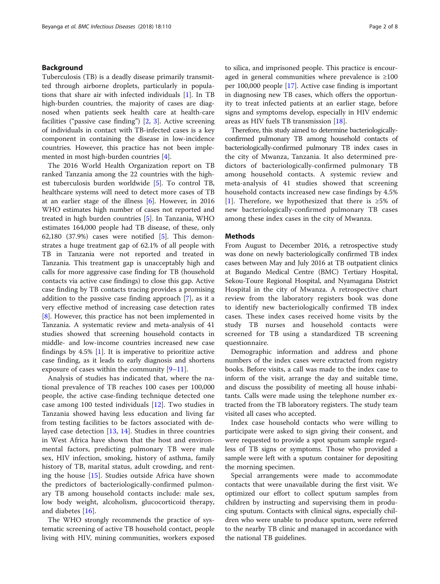## Background

Tuberculosis (TB) is a deadly disease primarily transmitted through airborne droplets, particularly in populations that share air with infected individuals [\[1](#page-6-0)]. In TB high-burden countries, the majority of cases are diagnosed when patients seek health care at health-care facilities ("passive case finding") [[2,](#page-6-0) [3\]](#page-6-0). Active screening of individuals in contact with TB-infected cases is a key component in containing the disease in low-incidence countries. However, this practice has not been implemented in most high-burden countries [[4\]](#page-6-0).

The 2016 World Health Organization report on TB ranked Tanzania among the 22 countries with the highest tuberculosis burden worldwide [[5\]](#page-6-0). To control TB, healthcare systems will need to detect more cases of TB at an earlier stage of the illness [\[6\]](#page-6-0). However, in 2016 WHO estimates high number of cases not reported and treated in high burden countries [[5\]](#page-6-0). In Tanzania, WHO estimates 164,000 people had TB disease, of these, only 62,180 (37.9%) cases were notified  $[5]$  $[5]$ . This demonstrates a huge treatment gap of 62.1% of all people with TB in Tanzania were not reported and treated in Tanzania. This treatment gap is unacceptably high and calls for more aggressive case finding for TB (household contacts via active case findings) to close this gap. Active case finding by TB contacts tracing provides a promising addition to the passive case finding approach [\[7](#page-6-0)], as it a very effective method of increasing case detection rates [[8\]](#page-6-0). However, this practice has not been implemented in Tanzania. A systematic review and meta-analysis of 41 studies showed that screening household contacts in middle- and low-income countries increased new case findings by  $4.5\%$  [\[1](#page-6-0)]. It is imperative to prioritize active case finding, as it leads to early diagnosis and shortens exposure of cases within the community  $[9-11]$  $[9-11]$  $[9-11]$  $[9-11]$  $[9-11]$ .

Analysis of studies has indicated that, where the national prevalence of TB reaches 100 cases per 100,000 people, the active case-finding technique detected one case among 100 tested individuals [[12](#page-6-0)]. Two studies in Tanzania showed having less education and living far from testing facilities to be factors associated with delayed case detection [[13,](#page-6-0) [14](#page-6-0)]. Studies in three countries in West Africa have shown that the host and environmental factors, predicting pulmonary TB were male sex, HIV infection, smoking, history of asthma, family history of TB, marital status, adult crowding, and renting the house [[15\]](#page-7-0). Studies outside Africa have shown the predictors of bacteriologically-confirmed pulmonary TB among household contacts include: male sex, low body weight, alcoholism, glucocorticoid therapy, and diabetes [[16\]](#page-7-0).

The WHO strongly recommends the practice of systematic screening of active TB household contact, people living with HIV, mining communities, workers exposed to silica, and imprisoned people. This practice is encouraged in general communities where prevalence is  $\geq 100$ per 100,000 people [[17\]](#page-7-0). Active case finding is important in diagnosing new TB cases, which offers the opportunity to treat infected patients at an earlier stage, before signs and symptoms develop, especially in HIV endemic areas as HIV fuels TB transmission [[18](#page-7-0)].

Therefore, this study aimed to determine bacteriologicallyconfirmed pulmonary TB among household contacts of bacteriologically-confirmed pulmonary TB index cases in the city of Mwanza, Tanzania. It also determined predictors of bacteriologically-confirmed pulmonary TB among household contacts. A systemic review and meta-analysis of 41 studies showed that screening household contacts increased new case findings by 4.5% [[1](#page-6-0)]. Therefore, we hypothesized that there is ≥5% of new bacteriologically-confirmed pulmonary TB cases among these index cases in the city of Mwanza.

#### Methods

From August to December 2016, a retrospective study was done on newly bacteriologically confirmed TB index cases between May and July 2016 at TB outpatient clinics at Bugando Medical Centre (BMC) Tertiary Hospital, Sekou-Toure Regional Hospital, and Nyamagana District Hospital in the city of Mwanza. A retrospective chart review from the laboratory registers book was done to identify new bacteriologically confirmed TB index cases. These index cases received home visits by the study TB nurses and household contacts were screened for TB using a standardized TB screening questionnaire.

Demographic information and address and phone numbers of the index cases were extracted from registry books. Before visits, a call was made to the index case to inform of the visit, arrange the day and suitable time, and discuss the possibility of meeting all house inhabitants. Calls were made using the telephone number extracted from the TB laboratory registers. The study team visited all cases who accepted.

Index case household contacts who were willing to participate were asked to sign giving their consent, and were requested to provide a spot sputum sample regardless of TB signs or symptoms. Those who provided a sample were left with a sputum container for depositing the morning specimen.

Special arrangements were made to accommodate contacts that were unavailable during the first visit. We optimized our effort to collect sputum samples from children by instructing and supervising them in producing sputum. Contacts with clinical signs, especially children who were unable to produce sputum, were referred to the nearby TB clinic and managed in accordance with the national TB guidelines.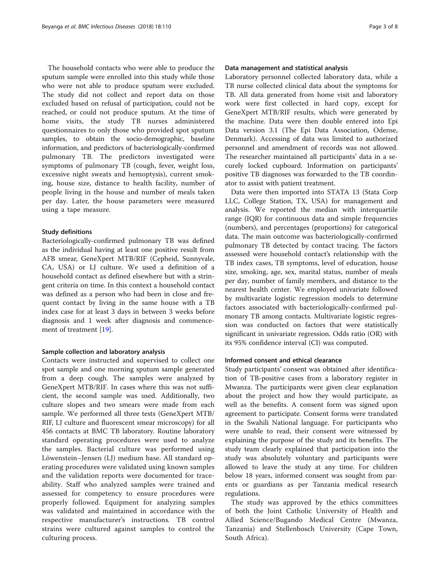The household contacts who were able to produce the sputum sample were enrolled into this study while those who were not able to produce sputum were excluded. The study did not collect and report data on those excluded based on refusal of participation, could not be reached, or could not produce sputum. At the time of home visits, the study TB nurses administered questionnaires to only those who provided spot sputum samples, to obtain the socio-demographic, baseline information, and predictors of bacteriologically-confirmed pulmonary TB. The predictors investigated were symptoms of pulmonary TB (cough, fever, weight loss, excessive night sweats and hemoptysis), current smoking, house size, distance to health facility, number of people living in the house and number of meals taken per day. Later, the house parameters were measured using a tape measure.

#### Study definitions

Bacteriologically-confirmed pulmonary TB was defined as the individual having at least one positive result from AFB smear, GeneXpert MTB/RIF (Cepheid, Sunnyvale, CA, USA) or LJ culture. We used a definition of a household contact as defined elsewhere but with a stringent criteria on time. In this context a household contact was defined as a person who had been in close and frequent contact by living in the same house with a TB index case for at least 3 days in between 3 weeks before diagnosis and 1 week after diagnosis and commencement of treatment [[19\]](#page-7-0).

#### Sample collection and laboratory analysis

Contacts were instructed and supervised to collect one spot sample and one morning sputum sample generated from a deep cough. The samples were analyzed by GeneXpert MTB/RIF. In cases where this was not sufficient, the second sample was used. Additionally, two culture slopes and two smears were made from each sample. We performed all three tests (GeneXpert MTB/ RIF, LJ culture and fluorescent smear microscopy) for all 456 contacts at BMC TB laboratory. Routine laboratory standard operating procedures were used to analyze the samples. Bacterial culture was performed using Löwenstein–Jensen (LJ) medium base. All standard operating procedures were validated using known samples and the validation reports were documented for traceability. Staff who analyzed samples were trained and assessed for competency to ensure procedures were properly followed. Equipment for analyzing samples was validated and maintained in accordance with the respective manufacturer's instructions. TB control strains were cultured against samples to control the culturing process.

#### Data management and statistical analysis

Laboratory personnel collected laboratory data, while a TB nurse collected clinical data about the symptoms for TB. All data generated from home visit and laboratory work were first collected in hard copy, except for GeneXpert MTB/RIF results, which were generated by the machine. Data were then double entered into Epi Data version 3.1 (The Epi Data Association, Odense, Denmark). Accessing of data was limited to authorized personnel and amendment of records was not allowed. The researcher maintained all participants' data in a securely locked cupboard. Information on participants' positive TB diagnoses was forwarded to the TB coordinator to assist with patient treatment.

Data were then imported into STATA 13 (Stata Corp LLC, College Station, TX, USA) for management and analysis. We reported the median with interquartile range (IQR) for continuous data and simple frequencies (numbers), and percentages (proportions) for categorical data. The main outcome was bacteriologically-confirmed pulmonary TB detected by contact tracing. The factors assessed were household contact's relationship with the TB index cases, TB symptoms, level of education, house size, smoking, age, sex, marital status, number of meals per day, number of family members, and distance to the nearest health center. We employed univariate followed by multivariate logistic regression models to determine factors associated with bacteriologically-confirmed pulmonary TB among contacts. Multivariate logistic regression was conducted on factors that were statistically significant in univariate regression. Odds ratio (OR) with its 95% confidence interval (CI) was computed.

#### Informed consent and ethical clearance

Study participants' consent was obtained after identification of TB-positive cases from a laboratory register in Mwanza. The participants were given clear explanation about the project and how they would participate, as well as the benefits. A consent form was signed upon agreement to participate. Consent forms were translated in the Swahili National language. For participants who were unable to read, their consent were witnessed by explaining the purpose of the study and its benefits. The study team clearly explained that participation into the study was absolutely voluntary and participants were allowed to leave the study at any time. For children below 18 years, informed consent was sought from parents or guardians as per Tanzania medical research regulations.

The study was approved by the ethics committees of both the Joint Catholic University of Health and Allied Science/Bugando Medical Centre (Mwanza, Tanzania) and Stellenbosch University (Cape Town, South Africa).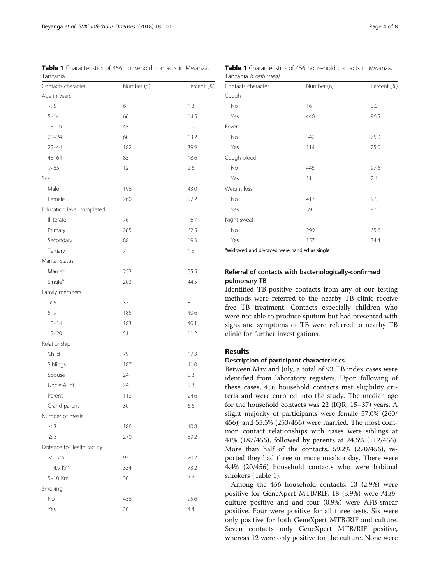Table 1 Characteristics of 456 household contacts in Mwanza, Tanzania

| Contacts character          | Number (n)     | Percent (%) |
|-----------------------------|----------------|-------------|
| Age in years                |                |             |
| < 5                         | 6              | 1.3         |
| $5 - 14$                    | 66             | 14.5        |
| $15 - 19$                   | 45             | 9.9         |
| $20 - 24$                   | 60             | 13.2        |
| $25 - 44$                   | 182            | 39.9        |
| $45 - 64$                   | 85             | 18.6        |
| > 65                        | 12             | 2.6         |
| Sex                         |                |             |
| Male                        | 196            | 43.0        |
| Female                      | 260            | 57.2        |
| Education level completed   |                |             |
| Illiterate                  | 76             | 16.7        |
| Primary                     | 285            | 62.5        |
| Secondary                   | 88             | 19.3        |
| Tertiary                    | $\overline{7}$ | 1.5         |
| Marital Status              |                |             |
| Married                     | 253            | 55.5        |
| Single <sup>a</sup>         | 203            | 44.5        |
| Family members              |                |             |
| < 5                         | 37             | 8.1         |
| $5 - 9$                     | 185            | 40.6        |
| $10 - 14$                   | 183            | 40.1        |
| $15 - 20$                   | 51             | 11.2        |
| Relationship                |                |             |
| Child                       | 79             | 17.3        |
| Siblings                    | 187            | 41.0        |
| Spouse                      | 24             | 5.3         |
| Uncle-Aunt                  | 24             | 5.3         |
| Parent                      | 112            | 24.6        |
| Grand parent                | 30             | 6.6         |
| Number of meals             |                |             |
| $<$ 3                       | 186            | 40.8        |
| $\geq$ 3                    | 270            | 59.2        |
| Distance to Health facility |                |             |
| $<$ 1 $Km$                  | 92             | 20.2        |
| 1-4.9 Km                    | 334            | 73.2        |
| 5-10 Km                     | 30             | 6.6         |
| Smoking                     |                |             |
| No                          | 436            | 95.6        |
| Yes                         | 20             | 4.4         |

| Contacts character | Number (n) | Percent (%) |
|--------------------|------------|-------------|
| Cough              |            |             |
| No                 | 16         | 3.5         |
| Yes                | 440        | 96.5        |
| Fever              |            |             |
| No                 | 342        | 75.0        |
| Yes                | 114        | 25.0        |
| Cough blood        |            |             |
| No                 | 445        | 97.6        |
| Yes                | 11         | 2.4         |
| Weight loss        |            |             |
| No                 | 417        | 9.5         |
| Yes                | 39         | 8.6         |
| Night sweat        |            |             |
| No                 | 299        | 65.6        |
| Yes                | 157        | 34.4        |

<sup>a</sup>Widowed and divorced were handled as single

## Referral of contacts with bacteriologically-confirmed pulmonary TB

Identified TB-positive contacts from any of our testing methods were referred to the nearby TB clinic receive free TB treatment. Contacts especially children who were not able to produce sputum but had presented with signs and symptoms of TB were referred to nearby TB clinic for further investigations.

#### Results

#### Description of participant characteristics

Between May and July, a total of 93 TB index cases were identified from laboratory registers. Upon following of these cases, 456 household contacts met eligibility criteria and were enrolled into the study. The median age for the household contacts was 22 (IQR, 15–37) years. A slight majority of participants were female 57.0% (260/ 456), and 55.5% (253/456) were married. The most common contact relationships with cases were siblings at 41% (187/456), followed by parents at 24.6% (112/456). More than half of the contacts, 59.2% (270/456), reported they had three or more meals a day. There were 4.4% (20/456) household contacts who were habitual smokers (Table 1).

Among the 456 household contacts, 13 (2.9%) were positive for GeneXpert MTB/RIF, 18 (3.9%) were M.tbculture positive and and four (0.9%) were AFB-smear positive. Four were positive for all three tests. Six were only positive for both GeneXpert MTB/RIF and culture. Seven contacts only GeneXpert MTB/RIF positive, whereas 12 were only positive for the culture. None were

| <b>Table 1</b> Characteristics of 456 household contacts in Mwanza, |  |  |
|---------------------------------------------------------------------|--|--|
| Tanzania <i>(Continued)</i>                                         |  |  |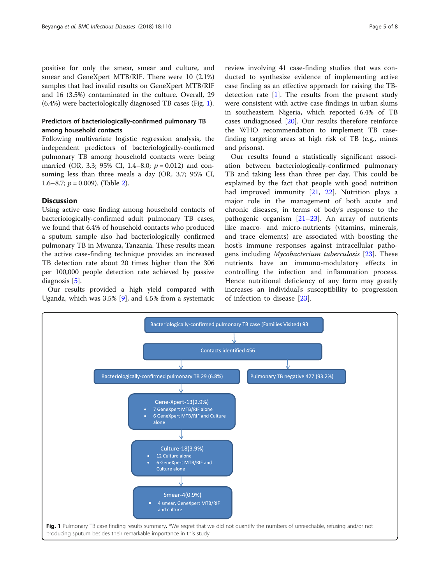positive for only the smear, smear and culture, and smear and GeneXpert MTB/RIF. There were 10 (2.1%) samples that had invalid results on GeneXpert MTB/RIF and 16 (3.5%) contaminated in the culture. Overall, 29 (6.4%) were bacteriologically diagnosed TB cases (Fig. 1).

## Predictors of bacteriologically-confirmed pulmonary TB among household contacts

Following multivariate logistic regression analysis, the independent predictors of bacteriologically-confirmed pulmonary TB among household contacts were: being married (OR, 3.3; 95% CI, 1.4–8.0;  $p = 0.012$ ) and consuming less than three meals a day (OR, 3.7; 95% CI, 1.6–8.7;  $p = 0.009$ ). (Table [2\)](#page-5-0).

## **Discussion**

Using active case finding among household contacts of bacteriologically-confirmed adult pulmonary TB cases, we found that 6.4% of household contacts who produced a sputum sample also had bacteriologically confirmed pulmonary TB in Mwanza, Tanzania. These results mean the active case-finding technique provides an increased TB detection rate about 20 times higher than the 306 per 100,000 people detection rate achieved by passive diagnosis [\[5](#page-6-0)].

Our results provided a high yield compared with Uganda, which was 3.5% [\[9](#page-6-0)], and 4.5% from a systematic

review involving 41 case-finding studies that was conducted to synthesize evidence of implementing active case finding as an effective approach for raising the TBdetection rate  $[1]$  $[1]$ . The results from the present study were consistent with active case findings in urban slums in southeastern Nigeria, which reported 6.4% of TB cases undiagnosed [\[20\]](#page-7-0). Our results therefore reinforce the WHO recommendation to implement TB casefinding targeting areas at high risk of TB (e.g., mines and prisons).

Our results found a statistically significant association between bacteriologically-confirmed pulmonary TB and taking less than three per day. This could be explained by the fact that people with good nutrition had improved immunity [[21,](#page-7-0) [22](#page-7-0)]. Nutrition plays a major role in the management of both acute and chronic diseases, in terms of body's response to the pathogenic organism [[21](#page-7-0)–[23\]](#page-7-0). An array of nutrients like macro- and micro-nutrients (vitamins, minerals, and trace elements) are associated with boosting the host's immune responses against intracellular pathogens including Mycobacterium tuberculosis [\[23](#page-7-0)]. These nutrients have an immuno-modulatory effects in controlling the infection and inflammation process. Hence nutritional deficiency of any form may greatly increases an individual's susceptibility to progression of infection to disease [\[23](#page-7-0)].

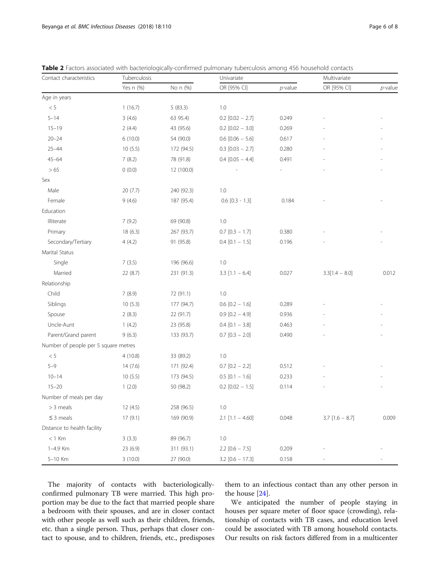Distance to health facility

<span id="page-5-0"></span>

| Contact characteristics              | Tuberculosis |            | Univariate          |            |                  | Multivariate |  |
|--------------------------------------|--------------|------------|---------------------|------------|------------------|--------------|--|
|                                      | Yes n (%)    | No n (%)   | OR [95% CI]         | $p$ -value | OR [95% CI]      | $p$ -value   |  |
| Age in years                         |              |            |                     |            |                  |              |  |
| < 5                                  | 1(16.7)      | 5(83.3)    | 1.0                 |            |                  |              |  |
| $5 - 14$                             | 3(4.6)       | 63 95.4)   | $0.2$ [0.02 - 2.7]  | 0.249      |                  |              |  |
| $15 - 19$                            | 2(4.4)       | 43 (95.6)  | $0.2$ [0.02 - 3.0]  | 0.269      |                  |              |  |
| $20 - 24$                            | 6(10.0)      | 54 (90.0)  | $0.6$ [0.06 - 5.6]  | 0.617      |                  |              |  |
| $25 - 44$                            | 10(5.5)      | 172 (94.5) | $0.3$ [0.03 - 2.7]  | 0.280      |                  |              |  |
| $45 - 64$                            | 7(8.2)       | 78 (91.8)  | $0.4$ [0.05 - 4.4]  | 0.491      |                  |              |  |
| > 65                                 | 0(0.0)       | 12 (100.0) |                     |            |                  |              |  |
| Sex                                  |              |            |                     |            |                  |              |  |
| Male                                 | 20(7.7)      | 240 (92.3) | 1.0                 |            |                  |              |  |
| Female                               | 9(4.6)       | 187 (95.4) | $0.6$ $[0.3 - 1.3]$ | 0.184      |                  |              |  |
| Education                            |              |            |                     |            |                  |              |  |
| Illiterate                           | 7(9.2)       | 69 (90.8)  | $1.0\,$             |            |                  |              |  |
| Primary                              | 18(6.3)      | 267 (93.7) | $0.7$ $[0.3 - 1.7]$ | 0.380      |                  |              |  |
| Secondary/Tertiary                   | 4(4.2)       | 91 (95.8)  | $0.4$ [0.1 - 1.5]   | 0.196      |                  |              |  |
| Marital Status                       |              |            |                     |            |                  |              |  |
| Single                               | 7(3.5)       | 196 (96.6) | 1.0                 |            |                  |              |  |
| Married                              | 22 (8.7)     | 231 (91.3) | $3.3$ [1.1 - 6.4]   | 0.027      | $3.3[1.4 - 8.0]$ | 0.012        |  |
| Relationship                         |              |            |                     |            |                  |              |  |
| Child                                | 7(8.9)       | 72 (91.1)  | 1.0                 |            |                  |              |  |
| Siblings                             | 10(5.3)      | 177 (94.7) | $0.6$ [0.2 - 1.6]   | 0.289      |                  |              |  |
| Spouse                               | 2(8.3)       | 22 (91.7)  | $0.9$ $[0.2 - 4.9]$ | 0.936      |                  |              |  |
| Uncle-Aunt                           | 1(4.2)       | 23 (95.8)  | $0.4$ [0.1 - 3.8]   | 0.463      |                  |              |  |
| Parent/Grand parent                  | 9(6.3)       | 133 (93.7) | $0.7$ $[0.3 - 2.0]$ | 0.490      |                  |              |  |
| Number of people per 5 square metres |              |            |                     |            |                  |              |  |
| < 5                                  | 4(10.8)      | 33 (89.2)  | 1.0                 |            |                  |              |  |
| $5 - 9$                              | 14(7.6)      | 171 (92.4) | $0.7$ [0.2 - 2.2]   | 0.512      |                  |              |  |
| $10 - 14$                            | 10(5.5)      | 173 (94.5) | $0.5$ [0.1 - 1.6]   | 0.233      |                  |              |  |
| $15 - 20$                            | 1(2.0)       | 50 (98.2)  | $0.2$ [0.02 - 1.5]  | 0.114      |                  |              |  |
| Number of meals per day              |              |            |                     |            |                  |              |  |
| > 3 meals                            | 12(4.5)      | 258 (96.5) | 1.0                 |            |                  |              |  |

 $\leq$  3 meals 17 (9.1) 169 (90.9) 2.1 [1.1 – 4.60] 0.048 3.7 [1.6 – 8.7] 0.009

1–4.9 Km 23 (6.9) 311 (93.1) 2.2 [0.6 – 7.5] 0.209 - -

The majority of contacts with bacteriologicallyconfirmed pulmonary TB were married. This high proportion may be due to the fact that married people share a bedroom with their spouses, and are in closer contact with other people as well such as their children, friends, etc. than a single person. Thus, perhaps that closer contact to spouse, and to children, friends, etc., predisposes

 $< 1$  Km  $< 3$  (3.3) 89 (96.7) 1.0

5–10 Km 3 (10.0) 27 (90.0) 3.2 [0.6 – 17.3] 0.158 - -

them to an infectious contact than any other person in the house [[24](#page-7-0)].

We anticipated the number of people staying in houses per square meter of floor space (crowding), relationship of contacts with TB cases, and education level could be associated with TB among household contacts. Our results on risk factors differed from in a multicenter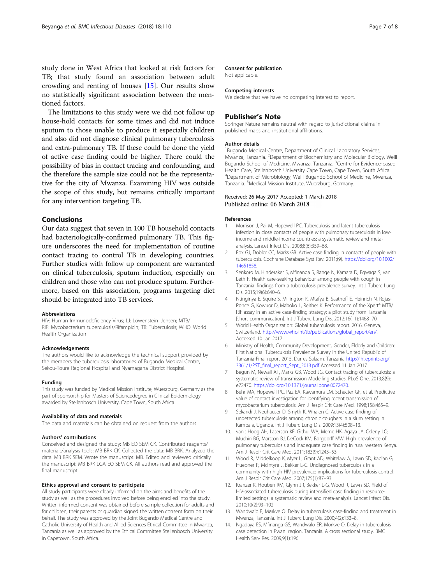<span id="page-6-0"></span>study done in West Africa that looked at risk factors for TB; that study found an association between adult crowding and renting of houses [[15](#page-7-0)]. Our results show no statistically significant association between the mentioned factors.

The limitations to this study were we did not follow up house-hold contacts for some times and did not induce sputum to those unable to produce it especially children and also did not diagnose clinical pulmonary tuberculosis and extra-pulmonary TB. If these could be done the yield of active case finding could be higher. There could the possibility of bias in contact tracing and confounding, and the therefore the sample size could not be the representative for the city of Mwanza. Examining HIV was outside the scope of this study, but remains critically important for any intervention targeting TB.

### Conclusions

Our data suggest that seven in 100 TB household contacts had bacteriologically-confirmed pulmonary TB. This figure underscores the need for implementation of routine contact tracing to control TB in developing countries. Further studies with follow up component are warranted on clinical tuberculosis, sputum induction, especially on children and those who can not produce sputum. Furthermore, based on this association, programs targeting diet should be integrated into TB services.

#### Abbreviations

HIV: Human Immunodeficiency Virus; LJ: Löwenstein–Jensen; MTB/ RIF: Mycobacterium tuberculosis/Rifampicin; TB: Tuberculosis; WHO: World Health Organization

#### Acknowledgements

The authors would like to acknowledge the technical support provided by the members the tuberculosis laboratories of Bugando Medical Centre, Sekou-Toure Regional Hospital and Nyamagana District Hospital.

#### Funding

This study was funded by Medical Mission Institute, Wuerzburg, Germany as the part of sponsorship for Masters of Sciencedegree in Clinical Epidemiology awarded by Stellenbosch University, Cape Town, South Africa.

#### Availability of data and materials

The data and materials can be obtained on request from the authors.

#### Authors' contributions

Conceived and designed the study: MB EO SEM CK. Contributed reagents/ materials/analysis tools: MB BRK CK. Collected the data: MB BRK. Analyzed the data: MB BRK SEM. Wrote the manuscript: MB. Edited and reviewed critically the manuscript: MB BRK LGA EO SEM CK. All authors read and approved the final manuscript.

#### Ethics approval and consent to participate

All study participants were clearly informed on the aims and benefits of the study as well as the procedures involved before being enrolled into the study. Written informed consent was obtained before sample collection for adults and for children, their parents or guardian signed the written consent form on their behalf. The study was approved by the Joint Bugando Medical Centre and Catholic University of Health and Allied Sciences Ethical Committee in Mwanza, Tanzania as well as approved by the Ethical Committee Stellenbosch University in Capetown, South Africa.

#### Consent for publication

Not applicable.

#### Competing interests

We declare that we have no competing interest to report.

#### Publisher's Note

Springer Nature remains neutral with regard to jurisdictional claims in published maps and institutional affiliations.

#### Author details

<sup>1</sup>Bugando Medical Centre, Department of Clinical Laboratory Services, Mwanza, Tanzania. <sup>2</sup> Department of Biochemistry and Molecular Biology, Weill Bugando School of Medicine, Mwanza, Tanzania. <sup>3</sup>Centre for Evidence-based Health Care, Stellenbosch University Cape Town, Cape Town, South Africa. 4 Department of Microbiology, Weill Bugando School of Medicine, Mwanza, Tanzania. <sup>5</sup> Medical Mission Institute, Wuerzburg, Germany.

#### Received: 26 May 2017 Accepted: 1 March 2018 Published online: 06 March 2018

#### References

- 1. Morrison J, Pai M, Hopewell PC. Tuberculosis and latent tuberculosis infection in close contacts of people with pulmonary tuberculosis in lowincome and middle-income countries: a systematic review and metaanalysis. Lancet Infect Dis. 2008;8(6):359–68.
- 2. Fox GJ, Dobler CC, Marks GB. Active case finding in contacts of people with tuberculosis. Cochrane Database Syst Rev. 2011;(9). [https://doi.org/10.1002/](https://doi.org/10.1002/14651858) [14651858](https://doi.org/10.1002/14651858).
- 3. Senkoro M, Hinderaker S, Mfinanga S, Range N, Kamara D, Egwaga S, van Leth F. Health care-seeking behaviour among people with cough in Tanzania: findings from a tuberculosis prevalence survey. Int J Tuberc Lung Dis. 2015;19(6):640–6.
- 4. Ntinginya E, Squire S, Millington K, Mtafya B, Saathoff E, Heinrich N, Rojas-Ponce G, Kowuor D, Maboko L, Reither K. Performance of the Xpert® MTB/ RIF assay in an active case-finding strategy: a pilot study from Tanzania [short communication]. Int J Tuberc Lung Dis. 2012;16(11):1468–70.
- 5. World Health Organization: Global tuberculosis report. 2016. Geneva, Switzerland. [http://www.who.int/tb/publications/global\\_report/en/](http://www.who.int/tb/publications/global_report/en/). Accessed 10 Jan 2017.
- 6. Ministry of Health, Community Development, Gender, Elderly and Children: First National Tuberculosis Prevalence Survey in the United Republic of Tanzania-Final report 2015, Dar es Salaam, Tanzania [http://ihi.eprints.org/](http://www.ihi.eprints.org/3361/1/PST_final_report_Sept_2013.pdf) [3361/1/PST\\_final\\_report\\_Sept\\_2013.pdf](http://www.ihi.eprints.org/3361/1/PST_final_report_Sept_2013.pdf) Accessed 11 Jan 2017.
- 7. Begun M, Newall AT, Marks GB, Wood JG. Contact tracing of tuberculosis: a systematic review of transmission Modelling studies. PLoS One. 2013;8(9): e72470. <https://doi.org/10.1371/journal.pone.0072470>.
- 8. Behr MA, Hopewell PC, Paz EA, Kawamura LM, Schecter GF, et al. Predictive value of contact investigation for identifying recent transmission of mycobacterium tuberculosis. Am J Respir Crit Care Med. 1998;158:465–9.
- 9. Sekandi J, Neuhauser D, Smyth K, Whalen C. Active case finding of undetected tuberculosis among chronic coughers in a slum setting in Kampala, Uganda. Int J Tuberc Lung Dis. 2009;13(4):508–13.
- 10. van't Hoog AH, Laserson KF, Githui WA, Meme HK, Agaya JA, Odeny LO, Muchiri BG, Marston BJ, DeCock KM, Borgdorff MW. High prevalence of pulmonary tuberculosis and inadequate case finding in rural western Kenya. Am J Respir Crit Care Med. 2011;183(9):1245–53.
- 11. Wood R, Middelkoop K, Myer L, Grant AD, Whitelaw A, Lawn SD, Kaplan G, Huebner R, McIntyre J, Bekker L-G. Undiagnosed tuberculosis in a community with high HIV prevalence: implications for tuberculosis control. Am J Respir Crit Care Med. 2007;175(1):87–93.
- 12. Kranzer K, Houben RM, Glynn JR, Bekker L-G, Wood R, Lawn SD. Yield of HIV-associated tuberculosis during intensified case finding in resourcelimited settings: a systematic review and meta-analysis. Lancet Infect Dis. 2010;10(2):93–102.
- 13. Wandwalo E, Mørkve O. Delay in tuberculosis case-finding and treatment in Mwanza, Tanzania. Int J Tuberc Lung Dis. 2000;4(2):133–8.
- 14. Ngadaya ES, Mfinanga GS, Wandwalo ER, Morkve O. Delay in tuberculosis case detection in Pwani region, Tanzania. A cross sectional study. BMC Health Serv Res. 2009;9(1):196.